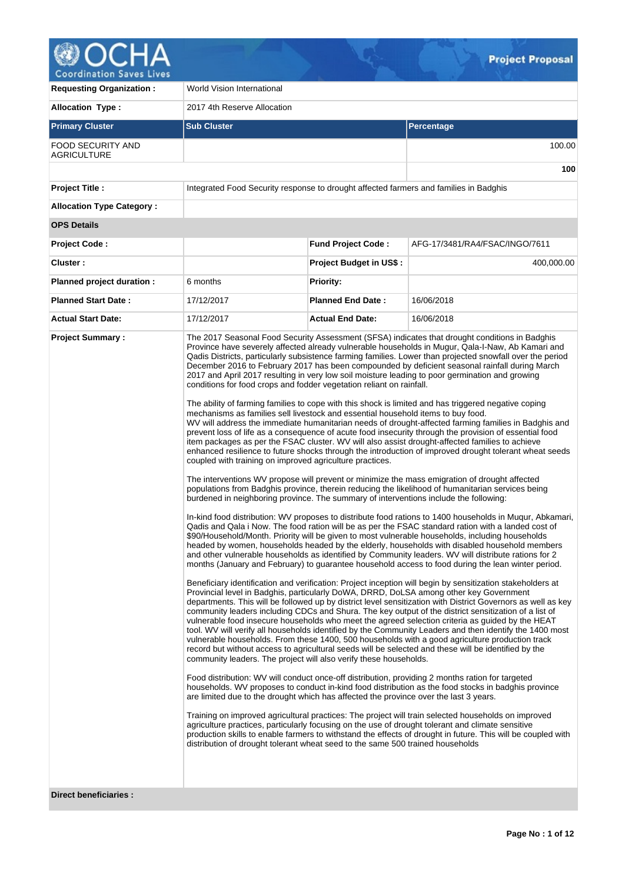

**Requesting Organization :** World Vision International

**Allocation Type :** 2017 4th Reserve Allocation **Primary Cluster Sub Cluster Sub Cluster** Sub Cluster Sub Cluster Sub Cluster Sub Cluster Sub Cluster Sub Cluster FOOD SECURITY AND **AGRICULTURE** 100.00 **100 Project Title :** Integrated Food Security response to drought affected farmers and families in Badghis **Allocation Type Category : OPS Details Project Code : Fund Project Code :** AFG-17/3481/RA4/FSAC/INGO/7611 **Cluster : Project Budget in US\$ :** 400,000.00 **Planned project duration :** 6 months **Priority: Planned Start Date :** 17/12/2017 **Planned End Date :** 16/06/2018 **Actual Start Date:** 17/12/2017 **Actual End Date:** 16/06/2018 **Project Summary :** The 2017 Seasonal Food Security Assessment (SFSA) indicates that drought conditions in Badghis Province have severely affected already vulnerable households in Mugur, Qala-I-Naw, Ab Kamari and Qadis Districts, particularly subsistence farming families. Lower than projected snowfall over the period December 2016 to February 2017 has been compounded by deficient seasonal rainfall during March 2017 and April 2017 resulting in very low soil moisture leading to poor germination and growing conditions for food crops and fodder vegetation reliant on rainfall. The ability of farming families to cope with this shock is limited and has triggered negative coping mechanisms as families sell livestock and essential household items to buy food. WV will address the immediate humanitarian needs of drought-affected farming families in Badghis and prevent loss of life as a consequence of acute food insecurity through the provision of essential food .<br>item packages as per the FSAC cluster. WV will also assist drought-affected families to achieve enhanced resilience to future shocks through the introduction of improved drought tolerant wheat seeds coupled with training on improved agriculture practices. The interventions WV propose will prevent or minimize the mass emigration of drought affected populations from Badghis province, therein reducing the likelihood of humanitarian services being burdened in neighboring province. The summary of interventions include the following: In-kind food distribution: WV proposes to distribute food rations to 1400 households in Muqur, Abkamari, Qadis and Qala i Now. The food ration will be as per the FSAC standard ration with a landed cost of \$90/Household/Month. Priority will be given to most vulnerable households, including households headed by women, households headed by the elderly, households with disabled household members and other vulnerable households as identified by Community leaders. WV will distribute rations for 2 months (January and February) to guarantee household access to food during the lean winter period. Beneficiary identification and verification: Project inception will begin by sensitization stakeholders at Provincial level in Badghis, particularly DoWA, DRRD, DoLSA among other key Government departments. This will be followed up by district level sensitization with District Governors as well as key community leaders including CDCs and Shura. The key output of the district sensitization of a list of vulnerable food insecure households who meet the agreed selection criteria as guided by the HEAT tool. WV will verify all households identified by the Community Leaders and then identify the 1400 most vulnerable households. From these 1400, 500 households with a good agriculture production track record but without access to agricultural seeds will be selected and these will be identified by the community leaders. The project will also verify these households. Food distribution: WV will conduct once-off distribution, providing 2 months ration for targeted households. WV proposes to conduct in-kind food distribution as the food stocks in badghis province are limited due to the drought which has affected the province over the last 3 years. Training on improved agricultural practices: The project will train selected households on improved agriculture practices, particularly focusing on the use of drought tolerant and climate sensitive production skills to enable farmers to withstand the effects of drought in future. This will be coupled with distribution of drought tolerant wheat seed to the same 500 trained households

**Direct beneficiaries :**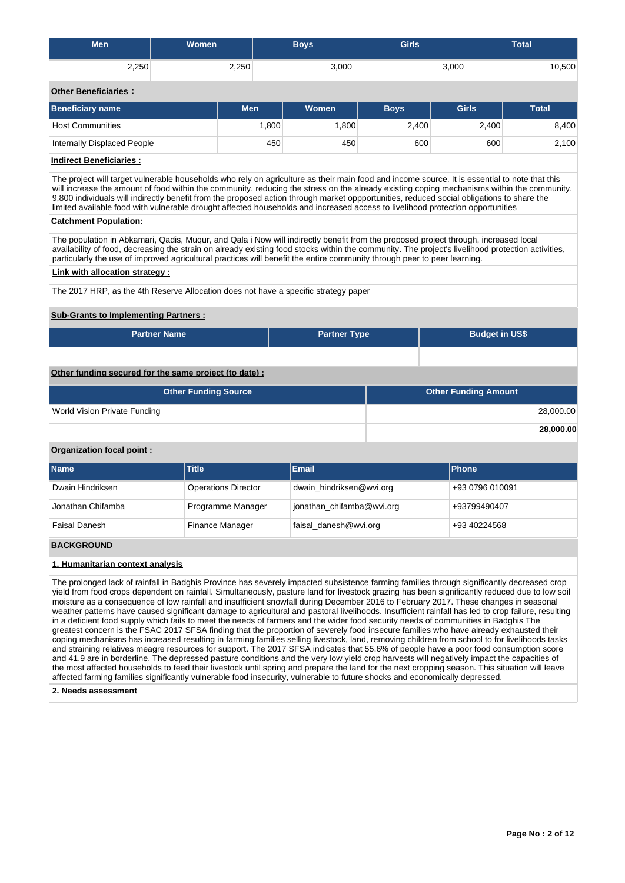| <b>Men</b>                                                                                                                                                                                                                                                                                                                                                                                                                                                                                                                                                                 | Women                        |            | <b>Boys</b>          | <b>Girls</b>          |                             | <b>Total</b> |  |  |  |  |
|----------------------------------------------------------------------------------------------------------------------------------------------------------------------------------------------------------------------------------------------------------------------------------------------------------------------------------------------------------------------------------------------------------------------------------------------------------------------------------------------------------------------------------------------------------------------------|------------------------------|------------|----------------------|-----------------------|-----------------------------|--------------|--|--|--|--|
| 2,250                                                                                                                                                                                                                                                                                                                                                                                                                                                                                                                                                                      |                              | 2,250      | 3,000                |                       | 3,000                       | 10,500       |  |  |  |  |
| <b>Other Beneficiaries:</b>                                                                                                                                                                                                                                                                                                                                                                                                                                                                                                                                                |                              |            |                      |                       |                             |              |  |  |  |  |
| <b>Beneficiary name</b>                                                                                                                                                                                                                                                                                                                                                                                                                                                                                                                                                    |                              | <b>Men</b> | Women<br><b>Boys</b> |                       | <b>Girls</b>                | <b>Total</b> |  |  |  |  |
| <b>Host Communities</b>                                                                                                                                                                                                                                                                                                                                                                                                                                                                                                                                                    |                              | 1,800      | 1,800                | 2,400                 | 2,400                       | 8,400        |  |  |  |  |
| <b>Internally Displaced People</b>                                                                                                                                                                                                                                                                                                                                                                                                                                                                                                                                         |                              | 450        | 450                  | 600                   | 600                         | 2,100        |  |  |  |  |
| <b>Indirect Beneficiaries:</b>                                                                                                                                                                                                                                                                                                                                                                                                                                                                                                                                             |                              |            |                      |                       |                             |              |  |  |  |  |
| The project will target vulnerable households who rely on agriculture as their main food and income source. It is essential to note that this<br>will increase the amount of food within the community, reducing the stress on the already existing coping mechanisms within the community.<br>9,800 individuals will indirectly benefit from the proposed action through market oppportunities, reduced social obligations to share the<br>limited available food with vulnerable drought affected households and increased access to livelihood protection opportunities |                              |            |                      |                       |                             |              |  |  |  |  |
| <b>Catchment Population:</b><br>The population in Abkamari, Qadis, Mugur, and Qala i Now will indirectly benefit from the proposed project through, increased local                                                                                                                                                                                                                                                                                                                                                                                                        |                              |            |                      |                       |                             |              |  |  |  |  |
| availability of food, decreasing the strain on already existing food stocks within the community. The project's livelihood protection activities,<br>particularly the use of improved agricultural practices will benefit the entire community through peer to peer learning.                                                                                                                                                                                                                                                                                              |                              |            |                      |                       |                             |              |  |  |  |  |
| <b>Link with allocation strategy:</b>                                                                                                                                                                                                                                                                                                                                                                                                                                                                                                                                      |                              |            |                      |                       |                             |              |  |  |  |  |
| The 2017 HRP, as the 4th Reserve Allocation does not have a specific strategy paper                                                                                                                                                                                                                                                                                                                                                                                                                                                                                        |                              |            |                      |                       |                             |              |  |  |  |  |
| <b>Sub-Grants to Implementing Partners:</b>                                                                                                                                                                                                                                                                                                                                                                                                                                                                                                                                |                              |            |                      |                       |                             |              |  |  |  |  |
|                                                                                                                                                                                                                                                                                                                                                                                                                                                                                                                                                                            | <b>Partner Name</b>          |            | <b>Partner Type</b>  | <b>Budget in US\$</b> |                             |              |  |  |  |  |
|                                                                                                                                                                                                                                                                                                                                                                                                                                                                                                                                                                            |                              |            |                      |                       |                             |              |  |  |  |  |
| Other funding secured for the same project (to date) :                                                                                                                                                                                                                                                                                                                                                                                                                                                                                                                     |                              |            |                      |                       |                             |              |  |  |  |  |
|                                                                                                                                                                                                                                                                                                                                                                                                                                                                                                                                                                            | <b>Other Funding Source</b>  |            |                      |                       | <b>Other Funding Amount</b> |              |  |  |  |  |
|                                                                                                                                                                                                                                                                                                                                                                                                                                                                                                                                                                            | World Vision Private Funding |            |                      |                       |                             | 28,000.00    |  |  |  |  |
|                                                                                                                                                                                                                                                                                                                                                                                                                                                                                                                                                                            | 28,000.00                    |            |                      |                       |                             |              |  |  |  |  |
| Organization focal point:                                                                                                                                                                                                                                                                                                                                                                                                                                                                                                                                                  |                              |            |                      |                       |                             |              |  |  |  |  |
| <b>Name</b>                                                                                                                                                                                                                                                                                                                                                                                                                                                                                                                                                                | <b>Title</b>                 |            | <b>Email</b>         |                       | <b>Phone</b>                |              |  |  |  |  |

| Dwain Hindriksen  | <b>Operations Director</b> | dwain hindriksen@wvi.org  | +93 0796 010091 |
|-------------------|----------------------------|---------------------------|-----------------|
| Jonathan Chifamba | Programme Manager          | jonathan chifamba@wvi.org | +93799490407    |
| Faisal Danesh     | <b>Finance Manager</b>     | faisal danesh@wvi.org     | +93 40224568    |

## **BACKGROUND**

### **1. Humanitarian context analysis**

The prolonged lack of rainfall in Badghis Province has severely impacted subsistence farming families through significantly decreased crop yield from food crops dependent on rainfall. Simultaneously, pasture land for livestock grazing has been significantly reduced due to low soil moisture as a consequence of low rainfall and insufficient snowfall during December 2016 to February 2017. These changes in seasonal weather patterns have caused significant damage to agricultural and pastoral livelihoods. Insufficient rainfall has led to crop failure, resulting in a deficient food supply which fails to meet the needs of farmers and the wider food security needs of communities in Badghis The greatest concern is the FSAC 2017 SFSA finding that the proportion of severely food insecure families who have already exhausted their coping mechanisms has increased resulting in farming families selling livestock, land, removing children from school to for livelihoods tasks and straining relatives meagre resources for support. The 2017 SFSA indicates that 55.6% of people have a poor food consumption score and 41.9 are in borderline. The depressed pasture conditions and the very low yield crop harvests will negatively impact the capacities of the most affected households to feed their livestock until spring and prepare the land for the next cropping season. This situation will leave affected farming families significantly vulnerable food insecurity, vulnerable to future shocks and economically depressed.

#### **2. Needs assessment**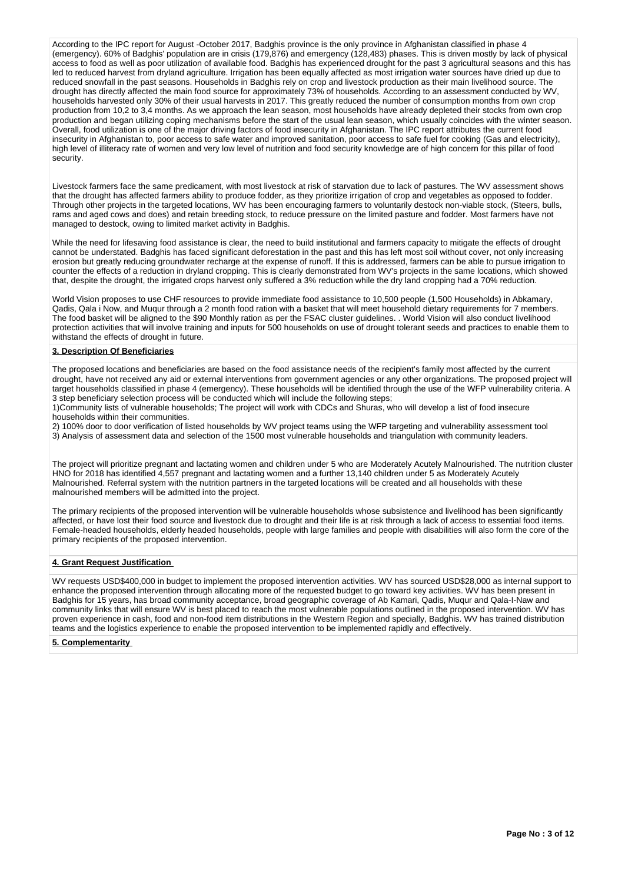According to the IPC report for August -October 2017, Badghis province is the only province in Afghanistan classified in phase 4 (emergency). 60% of Badghis' population are in crisis (179,876) and emergency (128,483) phases. This is driven mostly by lack of physical access to food as well as poor utilization of available food. Badghis has experienced drought for the past 3 agricultural seasons and this has led to reduced harvest from dryland agriculture. Irrigation has been equally affected as most irrigation water sources have dried up due to reduced snowfall in the past seasons. Households in Badghis rely on crop and livestock production as their main livelihood source. The drought has directly affected the main food source for approximately 73% of households. According to an assessment conducted by WV, households harvested only 30% of their usual harvests in 2017. This greatly reduced the number of consumption months from own crop production from 10,2 to 3,4 months. As we approach the lean season, most households have already depleted their stocks from own crop production and began utilizing coping mechanisms before the start of the usual lean season, which usually coincides with the winter season. Overall, food utilization is one of the major driving factors of food insecurity in Afghanistan. The IPC report attributes the current food insecurity in Afghanistan to, poor access to safe water and improved sanitation, poor access to safe fuel for cooking (Gas and electricity), high level of illiteracy rate of women and very low level of nutrition and food security knowledge are of high concern for this pillar of food security.

Livestock farmers face the same predicament, with most livestock at risk of starvation due to lack of pastures. The WV assessment shows that the drought has affected farmers ability to produce fodder, as they prioritize irrigation of crop and vegetables as opposed to fodder. Through other projects in the targeted locations, WV has been encouraging farmers to voluntarily destock non-viable stock, (Steers, bulls, rams and aged cows and does) and retain breeding stock, to reduce pressure on the limited pasture and fodder. Most farmers have not managed to destock, owing to limited market activity in Badghis.

While the need for lifesaving food assistance is clear, the need to build institutional and farmers capacity to mitigate the effects of drought cannot be understated. Badghis has faced significant deforestation in the past and this has left most soil without cover, not only increasing erosion but greatly reducing groundwater recharge at the expense of runoff. If this is addressed, farmers can be able to pursue irrigation to counter the effects of a reduction in dryland cropping. This is clearly demonstrated from WV's projects in the same locations, which showed that, despite the drought, the irrigated crops harvest only suffered a 3% reduction while the dry land cropping had a 70% reduction.

World Vision proposes to use CHF resources to provide immediate food assistance to 10,500 people (1,500 Households) in Abkamary, Qadis, Qala i Now, and Muqur through a 2 month food ration with a basket that will meet household dietary requirements for 7 members. The food basket will be aligned to the \$90 Monthly ration as per the FSAC cluster guidelines. . World Vision will also conduct livelihood protection activities that will involve training and inputs for 500 households on use of drought tolerant seeds and practices to enable them to withstand the effects of drought in future.

### **3. Description Of Beneficiaries**

The proposed locations and beneficiaries are based on the food assistance needs of the recipient's family most affected by the current drought, have not received any aid or external interventions from government agencies or any other organizations. The proposed project will target households classified in phase 4 (emergency). These households will be identified through the use of the WFP vulnerability criteria. A 3 step beneficiary selection process will be conducted which will include the following steps;

1)Community lists of vulnerable households; The project will work with CDCs and Shuras, who will develop a list of food insecure households within their communities.

2) 100% door to door verification of listed households by WV project teams using the WFP targeting and vulnerability assessment tool 3) Analysis of assessment data and selection of the 1500 most vulnerable households and triangulation with community leaders.

The project will prioritize pregnant and lactating women and children under 5 who are Moderately Acutely Malnourished. The nutrition cluster HNO for 2018 has identified 4,557 pregnant and lactating women and a further 13,140 children under 5 as Moderately Acutely Malnourished. Referral system with the nutrition partners in the targeted locations will be created and all households with these malnourished members will be admitted into the project.

The primary recipients of the proposed intervention will be vulnerable households whose subsistence and livelihood has been significantly affected, or have lost their food source and livestock due to drought and their life is at risk through a lack of access to essential food items. Female-headed households, elderly headed households, people with large families and people with disabilities will also form the core of the primary recipients of the proposed intervention.

#### **4. Grant Request Justification**

WV requests USD\$400,000 in budget to implement the proposed intervention activities. WV has sourced USD\$28,000 as internal support to enhance the proposed intervention through allocating more of the requested budget to go toward key activities. WV has been present in Badghis for 15 years, has broad community acceptance, broad geographic coverage of Ab Kamari, Qadis, Muqur and Qala-I-Naw and community links that will ensure WV is best placed to reach the most vulnerable populations outlined in the proposed intervention. WV has proven experience in cash, food and non-food item distributions in the Western Region and specially, Badghis. WV has trained distribution teams and the logistics experience to enable the proposed intervention to be implemented rapidly and effectively.

#### **5. Complementarity**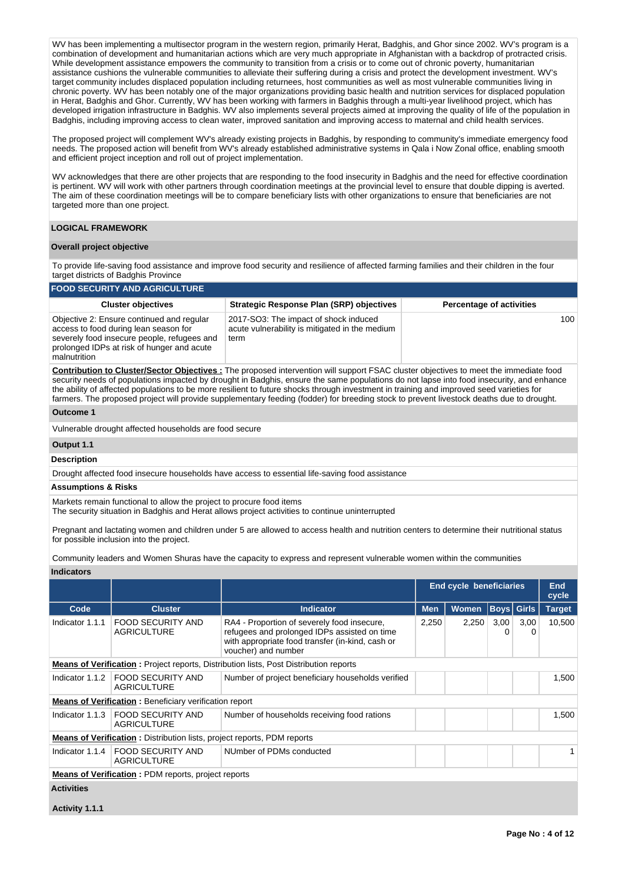WV has been implementing a multisector program in the western region, primarily Herat, Badghis, and Ghor since 2002. WV's program is a combination of development and humanitarian actions which are very much appropriate in Afghanistan with a backdrop of protracted crisis. While development assistance empowers the community to transition from a crisis or to come out of chronic poverty, humanitarian assistance cushions the vulnerable communities to alleviate their suffering during a crisis and protect the development investment. WV's target community includes displaced population including returnees, host communities as well as most vulnerable communities living in chronic poverty. WV has been notably one of the major organizations providing basic health and nutrition services for displaced population in Herat, Badghis and Ghor. Currently, WV has been working with farmers in Badghis through a multi-year livelihood project, which has developed irrigation infrastructure in Badghis. WV also implements several projects aimed at improving the quality of life of the population in Badghis, including improving access to clean water, improved sanitation and improving access to maternal and child health services.

The proposed project will complement WV's already existing projects in Badghis, by responding to community's immediate emergency food needs. The proposed action will benefit from WV's already established administrative systems in Qala i Now Zonal office, enabling smooth and efficient project inception and roll out of project implementation.

WV acknowledges that there are other projects that are responding to the food insecurity in Badghis and the need for effective coordination is pertinent. WV will work with other partners through coordination meetings at the provincial level to ensure that double dipping is averted. The aim of these coordination meetings will be to compare beneficiary lists with other organizations to ensure that beneficiaries are not targeted more than one project.

#### **LOGICAL FRAMEWORK**

#### **Overall project objective**

To provide life-saving food assistance and improve food security and resilience of affected farming families and their children in the four target districts of Badghis Province

#### **FOOD SECURITY AND AGRICULTURE Cluster objectives Strategic Response Plan (SRP) objectives Percentage of activities** Objective 2: Ensure continued and regular access to food during lean season for severely food insecure people, refugees and prolonged IDPs at risk of hunger and acute malnutrition 2017-SO3: The impact of shock induced acute vulnerability is mitigated in the medium term  $100$

**Contribution to Cluster/Sector Objectives :** The proposed intervention will support FSAC cluster objectives to meet the immediate food security needs of populations impacted by drought in Badghis, ensure the same populations do not lapse into food insecurity, and enhance the ability of affected populations to be more resilient to future shocks through investment in training and improved seed varieties for farmers. The proposed project will provide supplementary feeding (fodder) for breeding stock to prevent livestock deaths due to drought.

#### **Outcome 1**

Vulnerable drought affected households are food secure

# **Output 1.1**

**Description**

Drought affected food insecure households have access to essential life-saving food assistance

#### **Assumptions & Risks**

Markets remain functional to allow the project to procure food items

The security situation in Badghis and Herat allows project activities to continue uninterrupted

Pregnant and lactating women and children under 5 are allowed to access health and nutrition centers to determine their nutritional status for possible inclusion into the project.

Community leaders and Women Shuras have the capacity to express and represent vulnerable women within the communities

| Indicators |
|------------|
|------------|

|                   |                                                                                 |                                                                                                                                                                        |            | <b>End cycle beneficiaries</b> |           |                   | End<br>cycle  |
|-------------------|---------------------------------------------------------------------------------|------------------------------------------------------------------------------------------------------------------------------------------------------------------------|------------|--------------------------------|-----------|-------------------|---------------|
| Code              | <b>Cluster</b>                                                                  | <b>Indicator</b>                                                                                                                                                       | <b>Men</b> | <b>Women</b>                   |           | <b>Boys Girls</b> | <b>Target</b> |
| Indicator 1.1.1   | FOOD SECURITY AND<br><b>AGRICULTURE</b>                                         | RA4 - Proportion of severely food insecure,<br>refugees and prolonged IDPs assisted on time<br>with appropriate food transfer (in-kind, cash or<br>voucher) and number | 2,250      | 2,250                          | 3,00<br>0 | 3,00<br>0         | 10,500        |
|                   |                                                                                 | <b>Means of Verification:</b> Project reports, Distribution lists, Post Distribution reports                                                                           |            |                                |           |                   |               |
| Indicator 1.1.2   | <b>FOOD SECURITY AND</b><br><b>AGRICULTURE</b>                                  | Number of project beneficiary households verified                                                                                                                      |            |                                |           |                   | 1,500         |
|                   | <b>Means of Verification:</b> Beneficiary verification report                   |                                                                                                                                                                        |            |                                |           |                   |               |
| Indicator 1.1.3   | FOOD SECURITY AND<br><b>AGRICULTURE</b>                                         | Number of households receiving food rations                                                                                                                            |            |                                |           |                   | 1,500         |
|                   | <b>Means of Verification</b> : Distribution lists, project reports, PDM reports |                                                                                                                                                                        |            |                                |           |                   |               |
| Indicator 1.1.4   | <b>FOOD SECURITY AND</b><br><b>AGRICULTURE</b>                                  | NUmber of PDMs conducted                                                                                                                                               |            |                                |           |                   |               |
|                   | <b>Means of Verification:</b> PDM reports, project reports                      |                                                                                                                                                                        |            |                                |           |                   |               |
| <b>Activities</b> |                                                                                 |                                                                                                                                                                        |            |                                |           |                   |               |

**Activity 1.1.1**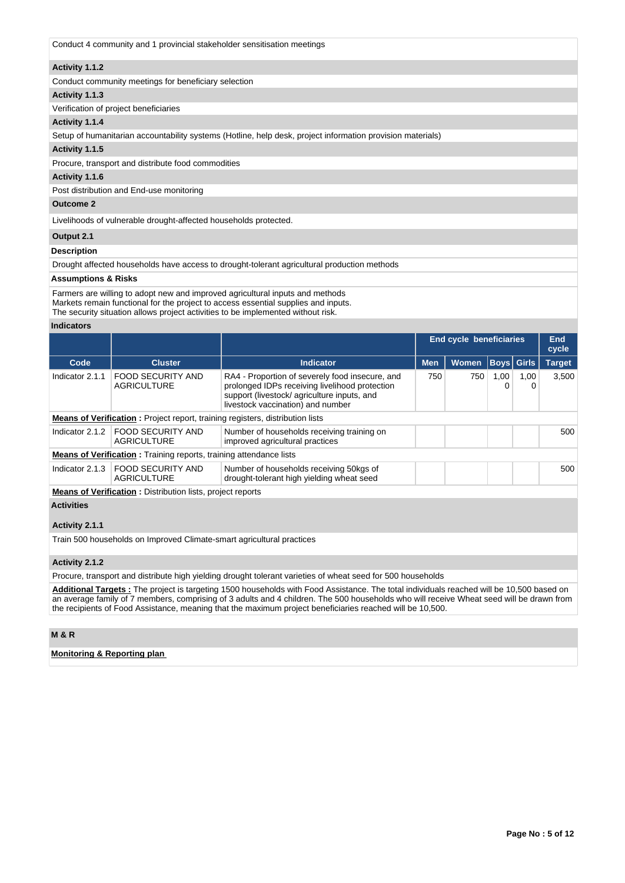Conduct 4 community and 1 provincial stakeholder sensitisation meetings

#### **Activity 1.1.2**

Conduct community meetings for beneficiary selection

#### **Activity 1.1.3**

Verification of project beneficiaries

### **Activity 1.1.4**

Setup of humanitarian accountability systems (Hotline, help desk, project information provision materials)

#### **Activity 1.1.5**

Procure, transport and distribute food commodities

#### **Activity 1.1.6**

Post distribution and End-use monitoring

### **Outcome 2**

Livelihoods of vulnerable drought-affected households protected.

#### **Output 2.1**

### **Description**

Drought affected households have access to drought-tolerant agricultural production methods

#### **Assumptions & Risks**

Farmers are willing to adopt new and improved agricultural inputs and methods Markets remain functional for the project to access essential supplies and inputs.

The security situation allows project activities to be implemented without risk.

#### **Indicators**

|                 |                                                                                      |                                                                                                                                                                                      |            | <b>End cycle beneficiaries</b> |           |                   | End<br>cycle  |  |  |  |
|-----------------|--------------------------------------------------------------------------------------|--------------------------------------------------------------------------------------------------------------------------------------------------------------------------------------|------------|--------------------------------|-----------|-------------------|---------------|--|--|--|
| Code            | <b>Cluster</b>                                                                       | <b>Indicator</b>                                                                                                                                                                     | <b>Men</b> | <b>Women</b>                   |           | <b>Boys</b> Girls | <b>Target</b> |  |  |  |
| Indicator 2.1.1 | <b>FOOD SECURITY AND</b><br><b>AGRICULTURE</b>                                       | RA4 - Proportion of severely food insecure, and<br>prolonged IDPs receiving livelihood protection<br>support (livestock/agriculture inputs, and<br>livestock vaccination) and number | 750        | 750                            | 1,00<br>0 | 1,00<br>0         | 3.500         |  |  |  |
|                 | <b>Means of Verification:</b> Project report, training registers, distribution lists |                                                                                                                                                                                      |            |                                |           |                   |               |  |  |  |
| Indicator 2.1.2 | FOOD SECURITY AND<br><b>AGRICULTURE</b>                                              | Number of households receiving training on<br>improved agricultural practices                                                                                                        |            |                                |           |                   | 500           |  |  |  |
|                 | <b>Means of Verification:</b> Training reports, training attendance lists            |                                                                                                                                                                                      |            |                                |           |                   |               |  |  |  |
| Indicator 2.1.3 | <b>FOOD SECURITY AND</b><br>AGRICULTURE                                              | Number of households receiving 50kgs of<br>drought-tolerant high yielding wheat seed                                                                                                 |            |                                |           |                   | 500           |  |  |  |
|                 | <b>Means of Verification :</b> Distribution lists project reports                    |                                                                                                                                                                                      |            |                                |           |                   |               |  |  |  |

**Means of Verification :** Distribution lists, project reports

## **Activities**

### **Activity 2.1.1**

Train 500 households on Improved Climate-smart agricultural practices

## **Activity 2.1.2**

Procure, transport and distribute high yielding drought tolerant varieties of wheat seed for 500 households

**Additional Targets :** The project is targeting 1500 households with Food Assistance. The total individuals reached will be 10,500 based on an average family of 7 members, comprising of 3 adults and 4 children. The 500 households who will receive Wheat seed will be drawn from the recipients of Food Assistance, meaning that the maximum project beneficiaries reached will be 10,500.

### **M & R**

## **Monitoring & Reporting plan**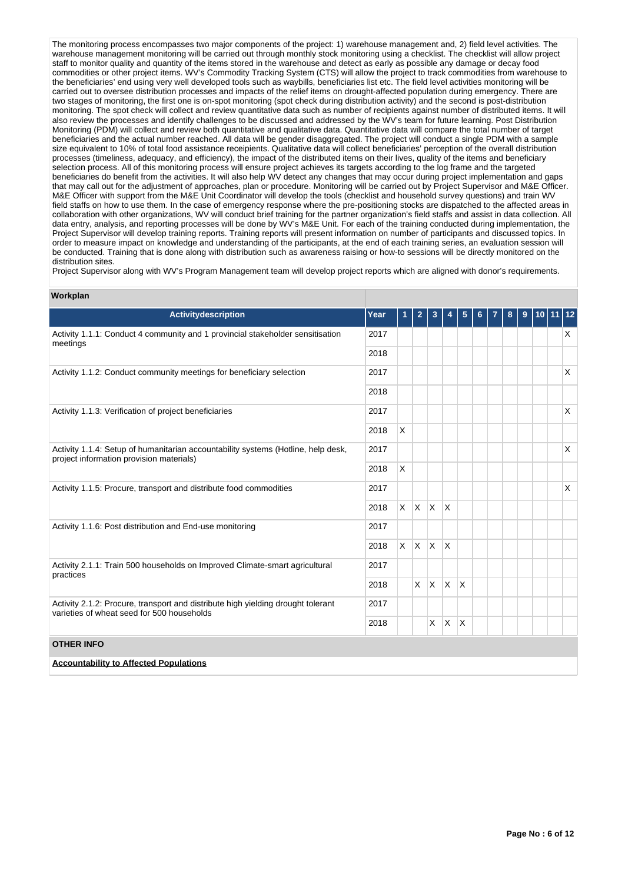The monitoring process encompasses two major components of the project: 1) warehouse management and, 2) field level activities. The warehouse management monitoring will be carried out through monthly stock monitoring using a checklist. The checklist will allow project staff to monitor quality and quantity of the items stored in the warehouse and detect as early as possible any damage or decay food commodities or other project items. WV's Commodity Tracking System (CTS) will allow the project to track commodities from warehouse to the beneficiaries' end using very well developed tools such as waybills, beneficiaries list etc. The field level activities monitoring will be carried out to oversee distribution processes and impacts of the relief items on drought-affected population during emergency. There are two stages of monitoring, the first one is on-spot monitoring (spot check during distribution activity) and the second is post-distribution monitoring. The spot check will collect and review quantitative data such as number of recipients against number of distributed items. It will also review the processes and identify challenges to be discussed and addressed by the WV's team for future learning. Post Distribution Monitoring (PDM) will collect and review both quantitative and qualitative data. Quantitative data will compare the total number of target beneficiaries and the actual number reached. All data will be gender disaggregated. The project will conduct a single PDM with a sample size equivalent to 10% of total food assistance receipients. Qualitative data will collect beneficiaries' perception of the overall distribution processes (timeliness, adequacy, and efficiency), the impact of the distributed items on their lives, quality of the items and beneficiary selection process. All of this monitoring process will ensure project achieves its targets according to the log frame and the targeted beneficiaries do benefit from the activities. It will also help WV detect any changes that may occur during project implementation and gaps that may call out for the adjustment of approaches, plan or procedure. Monitoring will be carried out by Project Supervisor and M&E Officer. M&E Officer with support from the M&E Unit Coordinator will develop the tools (checklist and household survey questions) and train WV field staffs on how to use them. In the case of emergency response where the pre-positioning stocks are dispatched to the affected areas in collaboration with other organizations, WV will conduct brief training for the partner organization's field staffs and assist in data collection. All data entry, analysis, and reporting processes will be done by WV's M&E Unit. For each of the training conducted during implementation, the Project Supervisor will develop training reports. Training reports will present information on number of participants and discussed topics. In order to measure impact on knowledge and understanding of the participants, at the end of each training series, an evaluation session will be conducted. Training that is done along with distribution such as awareness raising or how-to sessions will be directly monitored on the distribution sites.

Project Supervisor along with WV's Program Management team will develop project reports which are aligned with donor's requirements.

| <b>vvorkplan</b>                                                                                                               |      |   |                   |                   |              |   |   |   |   |                 |              |
|--------------------------------------------------------------------------------------------------------------------------------|------|---|-------------------|-------------------|--------------|---|---|---|---|-----------------|--------------|
| <b>Activitydescription</b>                                                                                                     | Year | 1 | $\overline{2}$    | 3                 |              | 5 | 6 | 8 | 9 | 10   1 <u>1</u> | $ 12\rangle$ |
| Activity 1.1.1: Conduct 4 community and 1 provincial stakeholder sensitisation<br>meetings                                     | 2017 |   |                   |                   |              |   |   |   |   |                 | X            |
|                                                                                                                                | 2018 |   |                   |                   |              |   |   |   |   |                 |              |
| Activity 1.1.2: Conduct community meetings for beneficiary selection                                                           | 2017 |   |                   |                   |              |   |   |   |   |                 | X            |
|                                                                                                                                |      |   |                   |                   |              |   |   |   |   |                 |              |
| Activity 1.1.3: Verification of project beneficiaries                                                                          | 2017 |   |                   |                   |              |   |   |   |   |                 | X            |
|                                                                                                                                | 2018 | X |                   |                   |              |   |   |   |   |                 |              |
| Activity 1.1.4: Setup of humanitarian accountability systems (Hotline, help desk,<br>project information provision materials)  |      |   |                   |                   |              |   |   |   |   |                 | X            |
|                                                                                                                                | 2018 | X |                   |                   |              |   |   |   |   |                 |              |
| Activity 1.1.5: Procure, transport and distribute food commodities                                                             |      |   |                   |                   |              |   |   |   |   |                 | X            |
|                                                                                                                                | 2018 |   | $x \mid x \mid x$ |                   | $\mathsf{X}$ |   |   |   |   |                 |              |
| Activity 1.1.6: Post distribution and End-use monitoring                                                                       | 2017 |   |                   |                   |              |   |   |   |   |                 |              |
|                                                                                                                                | 2018 |   | $X$ $X$ $X$       |                   | $\mathsf{X}$ |   |   |   |   |                 |              |
| Activity 2.1.1: Train 500 households on Improved Climate-smart agricultural<br>practices                                       | 2017 |   |                   |                   |              |   |   |   |   |                 |              |
|                                                                                                                                | 2018 |   |                   | $x \mid x \mid x$ |              | X |   |   |   |                 |              |
| Activity 2.1.2: Procure, transport and distribute high yielding drought tolerant<br>varieties of wheat seed for 500 households | 2017 |   |                   |                   |              |   |   |   |   |                 |              |
|                                                                                                                                |      |   |                   | X.                | $\mathsf{X}$ | X |   |   |   |                 |              |
| <b>OTHER INFO</b>                                                                                                              |      |   |                   |                   |              |   |   |   |   |                 |              |
| <b>Accountability to Affected Populations</b>                                                                                  |      |   |                   |                   |              |   |   |   |   |                 |              |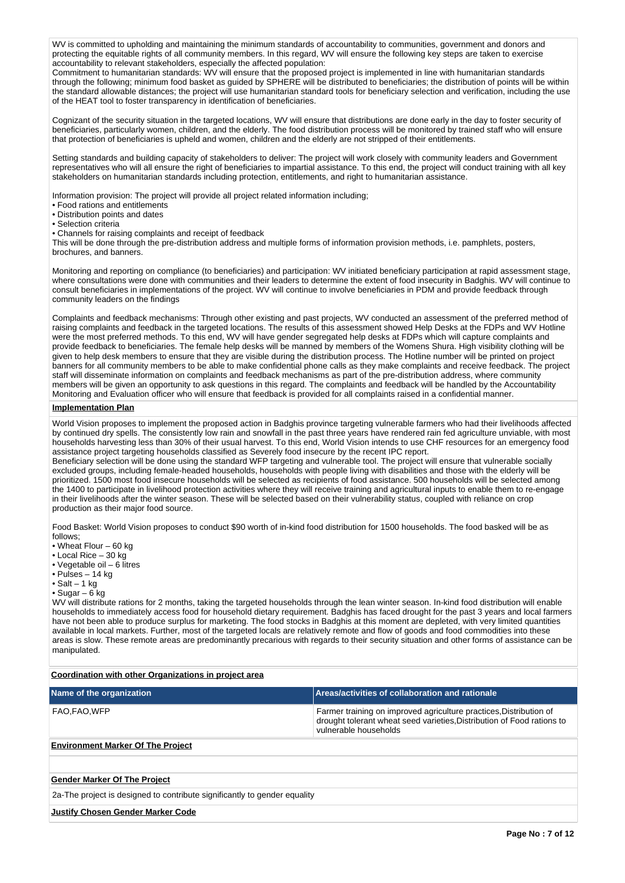WV is committed to upholding and maintaining the minimum standards of accountability to communities, government and donors and protecting the equitable rights of all community members. In this regard, WV will ensure the following key steps are taken to exercise accountability to relevant stakeholders, especially the affected population:

Commitment to humanitarian standards: WV will ensure that the proposed project is implemented in line with humanitarian standards through the following; minimum food basket as guided by SPHERE will be distributed to beneficiaries; the distribution of points will be within the standard allowable distances; the project will use humanitarian standard tools for beneficiary selection and verification, including the use of the HEAT tool to foster transparency in identification of beneficiaries.

Cognizant of the security situation in the targeted locations, WV will ensure that distributions are done early in the day to foster security of beneficiaries, particularly women, children, and the elderly. The food distribution process will be monitored by trained staff who will ensure that protection of beneficiaries is upheld and women, children and the elderly are not stripped of their entitlements.

Setting standards and building capacity of stakeholders to deliver: The project will work closely with community leaders and Government representatives who will all ensure the right of beneficiaries to impartial assistance. To this end, the project will conduct training with all key stakeholders on humanitarian standards including protection, entitlements, and right to humanitarian assistance.

Information provision: The project will provide all project related information including;

- Food rations and entitlements
- Distribution points and dates
- Selection criteria
- Channels for raising complaints and receipt of feedback

This will be done through the pre-distribution address and multiple forms of information provision methods, i.e. pamphlets, posters, brochures, and banners.

Monitoring and reporting on compliance (to beneficiaries) and participation: WV initiated beneficiary participation at rapid assessment stage, where consultations were done with communities and their leaders to determine the extent of food insecurity in Badghis. WV will continue to consult beneficiaries in implementations of the project. WV will continue to involve beneficiaries in PDM and provide feedback through community leaders on the findings

Complaints and feedback mechanisms: Through other existing and past projects, WV conducted an assessment of the preferred method of raising complaints and feedback in the targeted locations. The results of this assessment showed Help Desks at the FDPs and WV Hotline were the most preferred methods. To this end, WV will have gender segregated help desks at FDPs which will capture complaints and provide feedback to beneficiaries. The female help desks will be manned by members of the Womens Shura. High visibility clothing will be given to help desk members to ensure that they are visible during the distribution process. The Hotline number will be printed on project banners for all community members to be able to make confidential phone calls as they make complaints and receive feedback. The project staff will disseminate information on complaints and feedback mechanisms as part of the pre-distribution address, where community members will be given an opportunity to ask questions in this regard. The complaints and feedback will be handled by the Accountability Monitoring and Evaluation officer who will ensure that feedback is provided for all complaints raised in a confidential manner.

### **Implementation Plan**

World Vision proposes to implement the proposed action in Badghis province targeting vulnerable farmers who had their livelihoods affected by continued dry spells. The consistently low rain and snowfall in the past three years have rendered rain fed agriculture unviable, with most households harvesting less than 30% of their usual harvest. To this end, World Vision intends to use CHF resources for an emergency food assistance project targeting households classified as Severely food insecure by the recent IPC report.

Beneficiary selection will be done using the standard WFP targeting and vulnerable tool. The project will ensure that vulnerable socially excluded groups, including female-headed households, households with people living with disabilities and those with the elderly will be prioritized. 1500 most food insecure households will be selected as recipients of food assistance. 500 households will be selected among the 1400 to participate in livelihood protection activities where they will receive training and agricultural inputs to enable them to re-engage in their livelihoods after the winter season. These will be selected based on their vulnerability status, coupled with reliance on crop production as their major food source.

Food Basket: World Vision proposes to conduct \$90 worth of in-kind food distribution for 1500 households. The food basked will be as follows;

- Wheat Flour 60 kg
- Local Rice 30 kg
- Vegetable oil 6 litres
- Pulses 14 kg
- $\bullet$  Salt 1 kg

## $\cdot$  Sugar – 6 kg

WV will distribute rations for 2 months, taking the targeted households through the lean winter season. In-kind food distribution will enable households to immediately access food for household dietary requirement. Badghis has faced drought for the past 3 years and local farmers have not been able to produce surplus for marketing. The food stocks in Badghis at this moment are depleted, with very limited quantities available in local markets. Further, most of the targeted locals are relatively remote and flow of goods and food commodities into these areas is slow. These remote areas are predominantly precarious with regards to their security situation and other forms of assistance can be manipulated.

**Coordination with other Organizations in project area**

| Name of the organization                 | Areas/activities of collaboration and rationale                                                                                                                       |
|------------------------------------------|-----------------------------------------------------------------------------------------------------------------------------------------------------------------------|
| ⊺FAO,FAO,WFP                             | Farmer training on improved agriculture practices, Distribution of<br>drought tolerant wheat seed varieties, Distribution of Food rations to<br>vulnerable households |
| <b>Environment Marker Of The Project</b> |                                                                                                                                                                       |

### **Gender Marker Of The Project**

2a-The project is designed to contribute significantly to gender equality

#### **Justify Chosen Gender Marker Code**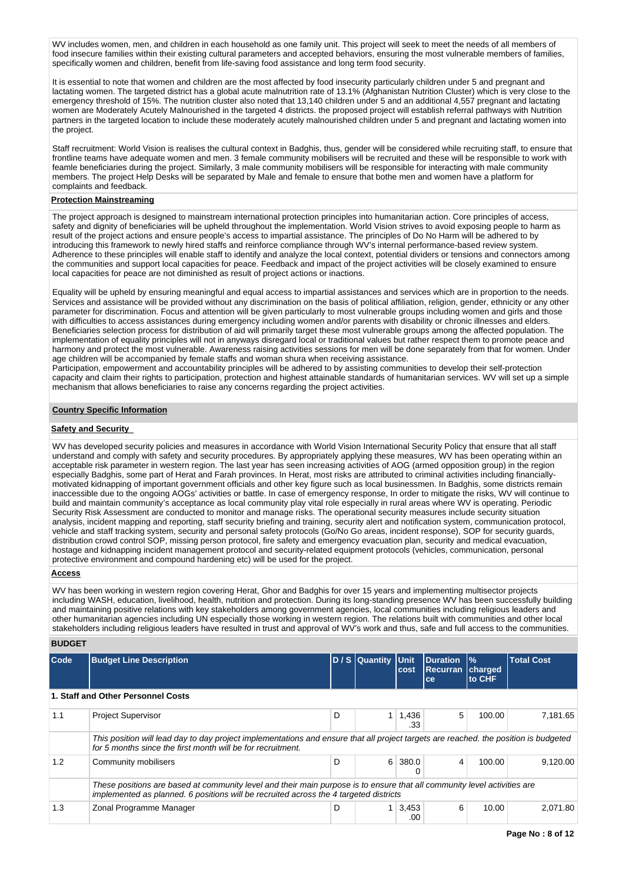WV includes women, men, and children in each household as one family unit. This project will seek to meet the needs of all members of food insecure families within their existing cultural parameters and accepted behaviors, ensuring the most vulnerable members of families, specifically women and children, benefit from life-saving food assistance and long term food security.

It is essential to note that women and children are the most affected by food insecurity particularly children under 5 and pregnant and lactating women. The targeted district has a global acute malnutrition rate of 13.1% (Afghanistan Nutrition Cluster) which is very close to the emergency threshold of 15%. The nutrition cluster also noted that 13,140 children under 5 and an additional 4,557 pregnant and lactating women are Moderately Acutely Malnourished in the targeted 4 districts. the proposed project will establish referral pathways with Nutrition partners in the targeted location to include these moderately acutely malnourished children under 5 and pregnant and lactating women into the project.

Staff recruitment: World Vision is realises the cultural context in Badghis, thus, gender will be considered while recruiting staff, to ensure that frontline teams have adequate women and men. 3 female community mobilisers will be recruited and these will be responsible to work with feamle beneficiaries during the project. Similarly, 3 male community mobilisers will be responsible for interacting with male community members. The project Help Desks will be separated by Male and female to ensure that bothe men and women have a platform for complaints and feedback.

#### **Protection Mainstreaming**

The project approach is designed to mainstream international protection principles into humanitarian action. Core principles of access, safety and dignity of beneficiaries will be upheld throughout the implementation. World Vision strives to avoid exposing people to harm as result of the project actions and ensure people's access to impartial assistance. The principles of Do No Harm will be adhered to by introducing this framework to newly hired staffs and reinforce compliance through WV's internal performance-based review system. Adherence to these principles will enable staff to identify and analyze the local context, potential dividers or tensions and connectors among the communities and support local capacities for peace. Feedback and impact of the project activities will be closely examined to ensure local capacities for peace are not diminished as result of project actions or inactions.

Equality will be upheld by ensuring meaningful and equal access to impartial assistances and services which are in proportion to the needs. Services and assistance will be provided without any discrimination on the basis of political affiliation, religion, gender, ethnicity or any other parameter for discrimination. Focus and attention will be given particularly to most vulnerable groups including women and girls and those with difficulties to access assistances during emergency including women and/or parents with disability or chronic illnesses and elders. Beneficiaries selection process for distribution of aid will primarily target these most vulnerable groups among the affected population. The implementation of equality principles will not in anyways disregard local or traditional values but rather respect them to promote peace and harmony and protect the most vulnerable. Awareness raising activities sessions for men will be done separately from that for women. Under age children will be accompanied by female staffs and woman shura when receiving assistance.

Participation, empowerment and accountability principles will be adhered to by assisting communities to develop their self-protection capacity and claim their rights to participation, protection and highest attainable standards of humanitarian services. WV will set up a simple mechanism that allows beneficiaries to raise any concerns regarding the project activities.

#### **Country Specific Information**

#### **Safety and Security**

WV has developed security policies and measures in accordance with World Vision International Security Policy that ensure that all staff understand and comply with safety and security procedures. By appropriately applying these measures, WV has been operating within an acceptable risk parameter in western region. The last year has seen increasing activities of AOG (armed opposition group) in the region especially Badghis, some part of Herat and Farah provinces. In Herat, most risks are attributed to criminal activities including financiallymotivated kidnapping of important government officials and other key figure such as local businessmen. In Badghis, some districts remain inaccessible due to the ongoing AOGs' activities or battle. In case of emergency response, In order to mitigate the risks, WV will continue to build and maintain community's acceptance as local community play vital role especially in rural areas where WV is operating. Periodic Security Risk Assessment are conducted to monitor and manage risks. The operational security measures include security situation analysis, incident mapping and reporting, staff security briefing and training, security alert and notification system, communication protocol, vehicle and staff tracking system, security and personal safety protocols (Go/No Go areas, incident response), SOP for security guards, distribution crowd control SOP, missing person protocol, fire safety and emergency evacuation plan, security and medical evacuation, hostage and kidnapping incident management protocol and security-related equipment protocols (vehicles, communication, personal protective environment and compound hardening etc) will be used for the project.

#### **Access**

WV has been working in western region covering Herat, Ghor and Badghis for over 15 years and implementing multisector projects including WASH, education, livelihood, health, nutrition and protection. During its long-standing presence WV has been successfully building and maintaining positive relations with key stakeholders among government agencies, local communities including religious leaders and other humanitarian agencies including UN especially those working in western region. The relations built with communities and other local stakeholders including religious leaders have resulted in trust and approval of WV's work and thus, safe and full access to the communities.

### **BUDGET**

| $\mathsf{Code}$ | <b>Budget Line Description</b>                                                                                                                                                                                    |   | D / S Quantity Unit | cost                | <b>Duration</b><br><b>Recurran</b><br>ce | l%<br>charged<br>to CHF | <b>Total Cost</b> |  |
|-----------------|-------------------------------------------------------------------------------------------------------------------------------------------------------------------------------------------------------------------|---|---------------------|---------------------|------------------------------------------|-------------------------|-------------------|--|
|                 | 1. Staff and Other Personnel Costs                                                                                                                                                                                |   |                     |                     |                                          |                         |                   |  |
| 1.1             | <b>Project Supervisor</b>                                                                                                                                                                                         | D |                     | 1,436<br>.33        | 5                                        | 100.00                  | 7.181.65          |  |
|                 | This position will lead day to day project implementations and ensure that all project targets are reached, the position is budgeted<br>for 5 months since the first month will be for recruitment.               |   |                     |                     |                                          |                         |                   |  |
| $1.2^{\circ}$   | Community mobilisers                                                                                                                                                                                              | D |                     | $6 \mid 380.0$<br>0 | 4                                        | 100.00                  | 9.120.00          |  |
|                 | These positions are based at community level and their main purpose is to ensure that all community level activities are<br>implemented as planned. 6 positions will be recruited across the 4 targeted districts |   |                     |                     |                                          |                         |                   |  |
| 1.3             | Zonal Programme Manager                                                                                                                                                                                           | D |                     | 3,453<br>.00        | 6                                        | 10.00                   | 2.071.80          |  |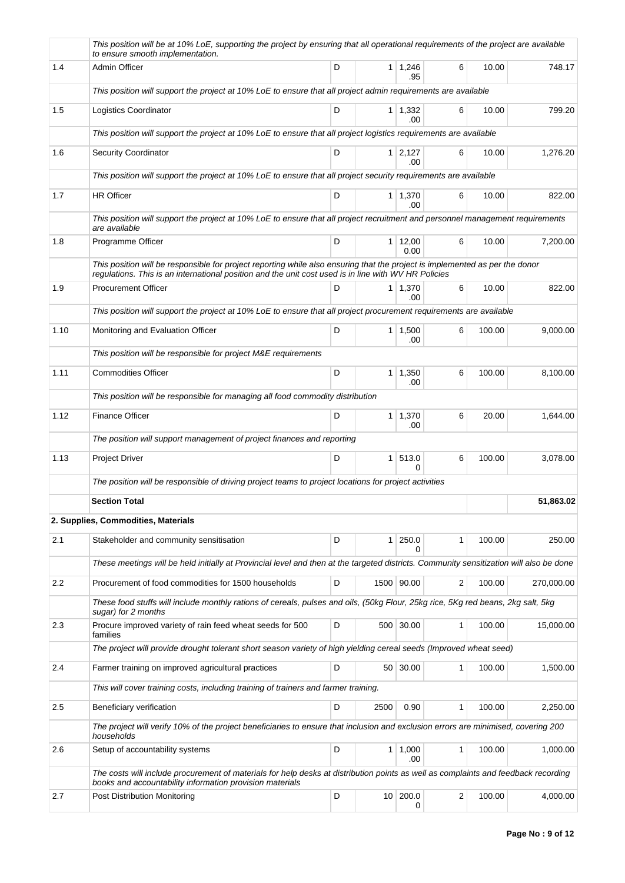|      | This position will be at 10% LoE, supporting the project by ensuring that all operational requirements of the project are available<br>to ensure smooth implementation.                                                              |   |      |                        |              |        |            |
|------|--------------------------------------------------------------------------------------------------------------------------------------------------------------------------------------------------------------------------------------|---|------|------------------------|--------------|--------|------------|
| 1.4  | Admin Officer                                                                                                                                                                                                                        | D |      | 1 1,246<br>.95         | 6            | 10.00  | 748.17     |
|      | This position will support the project at 10% LoE to ensure that all project admin requirements are available                                                                                                                        |   |      |                        |              |        |            |
| 1.5  | Logistics Coordinator                                                                                                                                                                                                                | D |      | $1 \mid 1,332$<br>.00  | 6            | 10.00  | 799.20     |
|      | This position will support the project at 10% LoE to ensure that all project logistics requirements are available                                                                                                                    |   |      |                        |              |        |            |
| 1.6  | <b>Security Coordinator</b>                                                                                                                                                                                                          | D |      | $1 \mid 2,127$<br>.00  | 6            | 10.00  | 1,276.20   |
|      | This position will support the project at 10% LoE to ensure that all project security requirements are available                                                                                                                     |   |      |                        |              |        |            |
| 1.7  | <b>HR Officer</b>                                                                                                                                                                                                                    | D |      | $1 \mid 1,370$<br>.00  | 6            | 10.00  | 822.00     |
|      | This position will support the project at 10% LoE to ensure that all project recruitment and personnel management requirements<br>are available                                                                                      |   |      |                        |              |        |            |
| 1.8  | Programme Officer                                                                                                                                                                                                                    | D |      | $1 \mid 12,00$<br>0.00 | 6            | 10.00  | 7,200.00   |
|      | This position will be responsible for project reporting while also ensuring that the project is implemented as per the donor<br>regulations. This is an international position and the unit cost used is in line with WV HR Policies |   |      |                        |              |        |            |
| 1.9  | <b>Procurement Officer</b>                                                                                                                                                                                                           | D |      | $1 \mid 1,370$<br>.00  | 6            | 10.00  | 822.00     |
|      | This position will support the project at 10% LoE to ensure that all project procurement requirements are available                                                                                                                  |   |      |                        |              |        |            |
| 1.10 | Monitoring and Evaluation Officer                                                                                                                                                                                                    | D |      | $1 \mid 1,500$<br>.00  | 6            | 100.00 | 9,000.00   |
|      | This position will be responsible for project M&E requirements                                                                                                                                                                       |   |      |                        |              |        |            |
| 1.11 | <b>Commodities Officer</b>                                                                                                                                                                                                           | D |      | $1 \mid 1,350$<br>.00  | 6            | 100.00 | 8,100.00   |
|      | This position will be responsible for managing all food commodity distribution                                                                                                                                                       |   |      |                        |              |        |            |
| 1.12 | <b>Finance Officer</b>                                                                                                                                                                                                               | D |      | $1 \mid 1,370$<br>.00  | 6            | 20.00  | 1,644.00   |
|      | The position will support management of project finances and reporting                                                                                                                                                               |   |      |                        |              |        |            |
| 1.13 | <b>Project Driver</b>                                                                                                                                                                                                                | D |      | 1   513.0<br>0         | 6            | 100.00 | 3,078.00   |
|      | The position will be responsible of driving project teams to project locations for project activities                                                                                                                                |   |      |                        |              |        |            |
|      | <b>Section Total</b>                                                                                                                                                                                                                 |   |      |                        |              |        | 51,863.02  |
|      | 2. Supplies, Commodities, Materials                                                                                                                                                                                                  |   |      |                        |              |        |            |
| 2.1  | Stakeholder and community sensitisation                                                                                                                                                                                              | D |      | 1 250.0                | 1            | 100.00 | 250.00     |
|      | These meetings will be held initially at Provincial level and then at the targeted districts. Community sensitization will also be done                                                                                              |   |      |                        |              |        |            |
| 2.2  | Procurement of food commodities for 1500 households                                                                                                                                                                                  | D |      | 1500 90.00             | 2            | 100.00 | 270,000.00 |
|      | These food stuffs will include monthly rations of cereals, pulses and oils, (50kg Flour, 25kg rice, 5Kg red beans, 2kg salt, 5kg<br>sugar) for 2 months                                                                              |   |      |                        |              |        |            |
| 2.3  | Procure improved variety of rain feed wheat seeds for 500<br>families                                                                                                                                                                | D |      | 500 30.00              | $\mathbf{1}$ | 100.00 | 15,000.00  |
|      | The project will provide drought tolerant short season variety of high yielding cereal seeds (Improved wheat seed)                                                                                                                   |   |      |                        |              |        |            |
| 2.4  | Farmer training on improved agricultural practices                                                                                                                                                                                   | D |      | 50 30.00               | 1            | 100.00 | 1,500.00   |
|      | This will cover training costs, including training of trainers and farmer training.                                                                                                                                                  |   |      |                        |              |        |            |
| 2.5  | Beneficiary verification                                                                                                                                                                                                             | D | 2500 | 0.90                   | 1            | 100.00 | 2,250.00   |
|      | The project will verify 10% of the project beneficiaries to ensure that inclusion and exclusion errors are minimised, covering 200<br>households                                                                                     |   |      |                        |              |        |            |
| 2.6  | Setup of accountability systems                                                                                                                                                                                                      | D |      | 1   1,000<br>.00       | $\mathbf{1}$ | 100.00 | 1,000.00   |
|      | The costs will include procurement of materials for help desks at distribution points as well as complaints and feedback recording<br>books and accountability information provision materials                                       |   |      |                        |              |        |            |
| 2.7  | Post Distribution Monitoring                                                                                                                                                                                                         | D |      | 10 200.0<br>0          | 2            | 100.00 | 4,000.00   |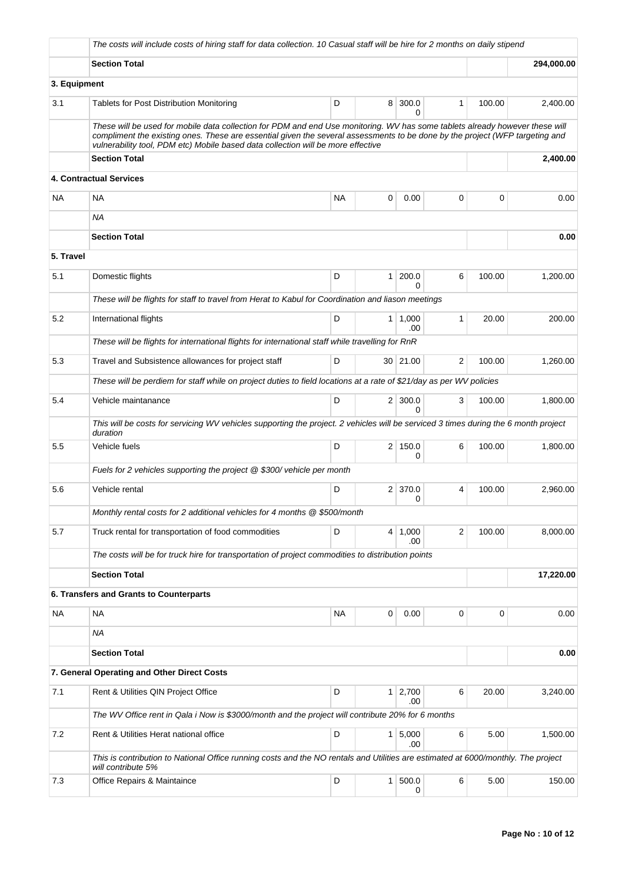|              | The costs will include costs of hiring staff for data collection. 10 Casual staff will be hire for 2 months on daily stipend                                                                                                                                                                                                                     |           |                |                     |                         |        |            |
|--------------|--------------------------------------------------------------------------------------------------------------------------------------------------------------------------------------------------------------------------------------------------------------------------------------------------------------------------------------------------|-----------|----------------|---------------------|-------------------------|--------|------------|
|              | <b>Section Total</b>                                                                                                                                                                                                                                                                                                                             |           |                |                     |                         |        | 294,000.00 |
| 3. Equipment |                                                                                                                                                                                                                                                                                                                                                  |           |                |                     |                         |        |            |
| 3.1          | <b>Tablets for Post Distribution Monitoring</b>                                                                                                                                                                                                                                                                                                  | D         | 8              | 300.0<br>0          | 1                       | 100.00 | 2,400.00   |
|              | These will be used for mobile data collection for PDM and end Use monitoring. WV has some tablets already however these will<br>compliment the existing ones. These are essential given the several assessments to be done by the project (WFP targeting and<br>vulnerability tool, PDM etc) Mobile based data collection will be more effective |           |                |                     |                         |        |            |
|              | <b>Section Total</b>                                                                                                                                                                                                                                                                                                                             |           |                |                     |                         |        | 2,400.00   |
|              | 4. Contractual Services                                                                                                                                                                                                                                                                                                                          |           |                |                     |                         |        |            |
| NA           | <b>NA</b>                                                                                                                                                                                                                                                                                                                                        | <b>NA</b> | 0              | 0.00                | 0                       | 0      | 0.00       |
|              | NA                                                                                                                                                                                                                                                                                                                                               |           |                |                     |                         |        |            |
|              | <b>Section Total</b>                                                                                                                                                                                                                                                                                                                             |           |                |                     |                         |        | 0.00       |
| 5. Travel    |                                                                                                                                                                                                                                                                                                                                                  |           |                |                     |                         |        |            |
| 5.1          | Domestic flights                                                                                                                                                                                                                                                                                                                                 | D         | $\mathbf{1}$   | 200.0<br>U          | 6                       | 100.00 | 1,200.00   |
|              | These will be flights for staff to travel from Herat to Kabul for Coordination and liason meetings                                                                                                                                                                                                                                               |           |                |                     |                         |        |            |
| 5.2          | International flights                                                                                                                                                                                                                                                                                                                            | D         | 1              | 1,000<br>.00        | $\mathbf{1}$            | 20.00  | 200.00     |
|              | These will be flights for international flights for international staff while travelling for RnR                                                                                                                                                                                                                                                 |           |                |                     |                         |        |            |
| 5.3          | Travel and Subsistence allowances for project staff                                                                                                                                                                                                                                                                                              | D         |                | 30 21.00            | 2                       | 100.00 | 1,260.00   |
|              | These will be perdiem for staff while on project duties to field locations at a rate of \$21/day as per WV policies                                                                                                                                                                                                                              |           |                |                     |                         |        |            |
| 5.4          | Vehicle maintanance                                                                                                                                                                                                                                                                                                                              | D         |                | $2 \mid 300.0$<br>0 | 3                       | 100.00 | 1,800.00   |
|              | This will be costs for servicing WV vehicles supporting the project. 2 vehicles will be serviced 3 times during the 6 month project<br>duration                                                                                                                                                                                                  |           |                |                     |                         |        |            |
| 5.5          | Vehicle fuels                                                                                                                                                                                                                                                                                                                                    | D         |                | 2 150.0<br>0        | 6                       | 100.00 | 1,800.00   |
|              | Fuels for 2 vehicles supporting the project @ \$300/ vehicle per month                                                                                                                                                                                                                                                                           |           |                |                     |                         |        |            |
| 5.6          | Vehicle rental                                                                                                                                                                                                                                                                                                                                   | D         | 2 <sup>1</sup> | 370.0<br>0          | 4                       | 100.00 | 2,960.00   |
|              | Monthly rental costs for 2 additional vehicles for 4 months @ \$500/month                                                                                                                                                                                                                                                                        |           |                |                     |                         |        |            |
| 5.7          | Truck rental for transportation of food commodities                                                                                                                                                                                                                                                                                              | D         | 4 <sup>1</sup> | 1,000<br>.00        | $\overline{\mathbf{c}}$ | 100.00 | 8,000.00   |
|              | The costs will be for truck hire for transportation of project commodities to distribution points                                                                                                                                                                                                                                                |           |                |                     |                         |        |            |
|              | <b>Section Total</b>                                                                                                                                                                                                                                                                                                                             |           |                |                     |                         |        | 17,220.00  |
|              | 6. Transfers and Grants to Counterparts                                                                                                                                                                                                                                                                                                          |           |                |                     |                         |        |            |
| <b>NA</b>    | <b>NA</b>                                                                                                                                                                                                                                                                                                                                        | <b>NA</b> | 0              | 0.00                | $\mathbf 0$             | 0      | 0.00       |
|              | ΝA                                                                                                                                                                                                                                                                                                                                               |           |                |                     |                         |        |            |
|              | <b>Section Total</b>                                                                                                                                                                                                                                                                                                                             |           |                |                     |                         |        | 0.00       |
|              | 7. General Operating and Other Direct Costs                                                                                                                                                                                                                                                                                                      |           |                |                     |                         |        |            |
| 7.1          | Rent & Utilities QIN Project Office                                                                                                                                                                                                                                                                                                              | D         | 1 <sup>1</sup> | 2,700<br>.00        | 6                       | 20.00  | 3,240.00   |
|              | The WV Office rent in Qala i Now is \$3000/month and the project will contribute 20% for 6 months                                                                                                                                                                                                                                                |           |                |                     |                         |        |            |
| 7.2          | Rent & Utilities Herat national office                                                                                                                                                                                                                                                                                                           | D         | 1              | 5,000<br>.00        | 6                       | 5.00   | 1,500.00   |
|              | This is contribution to National Office running costs and the NO rentals and Utilities are estimated at 6000/monthly. The project<br>will contribute 5%                                                                                                                                                                                          |           |                |                     |                         |        |            |
| 7.3          | Office Repairs & Maintaince                                                                                                                                                                                                                                                                                                                      | D         | $\mathbf{1}$   | 500.0<br>0          | 6                       | 5.00   | 150.00     |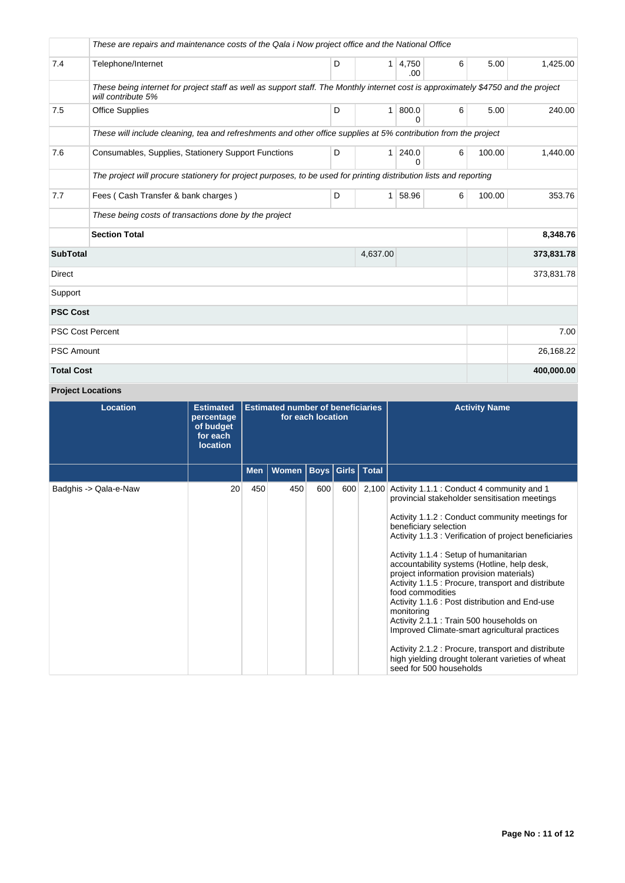|                   | These are repairs and maintenance costs of the Qala i Now project office and the National Office                                                         |   |                |                   |   |        |            |
|-------------------|----------------------------------------------------------------------------------------------------------------------------------------------------------|---|----------------|-------------------|---|--------|------------|
| 7.4               | Telephone/Internet                                                                                                                                       | D | 1 <sup>1</sup> | 4,750<br>.00      | 6 | 5.00   | 1,425.00   |
|                   | These being internet for project staff as well as support staff. The Monthly internet cost is approximately \$4750 and the project<br>will contribute 5% |   |                |                   |   |        |            |
| 7.5               | <b>Office Supplies</b>                                                                                                                                   | D | 1              | 800.0<br>0        | 6 | 5.00   | 240.00     |
|                   | These will include cleaning, tea and refreshments and other office supplies at 5% contribution from the project                                          |   |                |                   |   |        |            |
| 7.6               | Consumables, Supplies, Stationery Support Functions                                                                                                      | D | 1              | 240.0<br>$\Omega$ | 6 | 100.00 | 1,440.00   |
|                   | The project will procure stationery for project purposes, to be used for printing distribution lists and reporting                                       |   |                |                   |   |        |            |
| 7.7               | Fees (Cash Transfer & bank charges)                                                                                                                      | D | $\mathbf{1}$   | 58.96             | 6 | 100.00 | 353.76     |
|                   | These being costs of transactions done by the project                                                                                                    |   |                |                   |   |        |            |
|                   | <b>Section Total</b>                                                                                                                                     |   |                |                   |   |        | 8,348.76   |
| <b>SubTotal</b>   |                                                                                                                                                          |   | 4,637.00       |                   |   |        | 373,831.78 |
| <b>Direct</b>     |                                                                                                                                                          |   |                |                   |   |        | 373,831.78 |
| Support           |                                                                                                                                                          |   |                |                   |   |        |            |
| <b>PSC Cost</b>   |                                                                                                                                                          |   |                |                   |   |        |            |
|                   | <b>PSC Cost Percent</b>                                                                                                                                  |   |                |                   |   |        | 7.00       |
| <b>PSC Amount</b> |                                                                                                                                                          |   |                |                   |   |        | 26,168.22  |
| <b>Total Cost</b> |                                                                                                                                                          |   |                |                   |   |        | 400,000.00 |

## **Project Locations**

| <b>Location</b>       | <b>Estimated</b><br>percentage<br>of budget<br>for each<br><b>location</b> | <b>Estimated number of beneficiaries</b><br>for each location<br>  Boys   Girls   Total |       |     |     | <b>Activity Name</b>                                                                                                                                                                                                                                                                                                                                                                                                                                                                                                                                                                                                                                                                                                                                      |
|-----------------------|----------------------------------------------------------------------------|-----------------------------------------------------------------------------------------|-------|-----|-----|-----------------------------------------------------------------------------------------------------------------------------------------------------------------------------------------------------------------------------------------------------------------------------------------------------------------------------------------------------------------------------------------------------------------------------------------------------------------------------------------------------------------------------------------------------------------------------------------------------------------------------------------------------------------------------------------------------------------------------------------------------------|
|                       |                                                                            | <b>Men</b>                                                                              | Women |     |     |                                                                                                                                                                                                                                                                                                                                                                                                                                                                                                                                                                                                                                                                                                                                                           |
| Badghis -> Qala-e-Naw | 20                                                                         | 450                                                                                     | 450   | 600 | 600 | 2,100 Activity 1.1.1 : Conduct 4 community and 1<br>provincial stakeholder sensitisation meetings<br>Activity 1.1.2 : Conduct community meetings for<br>beneficiary selection<br>Activity 1.1.3 : Verification of project beneficiaries<br>Activity 1.1.4 : Setup of humanitarian<br>accountability systems (Hotline, help desk,<br>project information provision materials)<br>Activity 1.1.5 : Procure, transport and distribute<br>food commodities<br>Activity 1.1.6 : Post distribution and End-use<br>monitoring<br>Activity 2.1.1 : Train 500 households on<br>Improved Climate-smart agricultural practices<br>Activity 2.1.2 : Procure, transport and distribute<br>high yielding drought tolerant varieties of wheat<br>seed for 500 households |